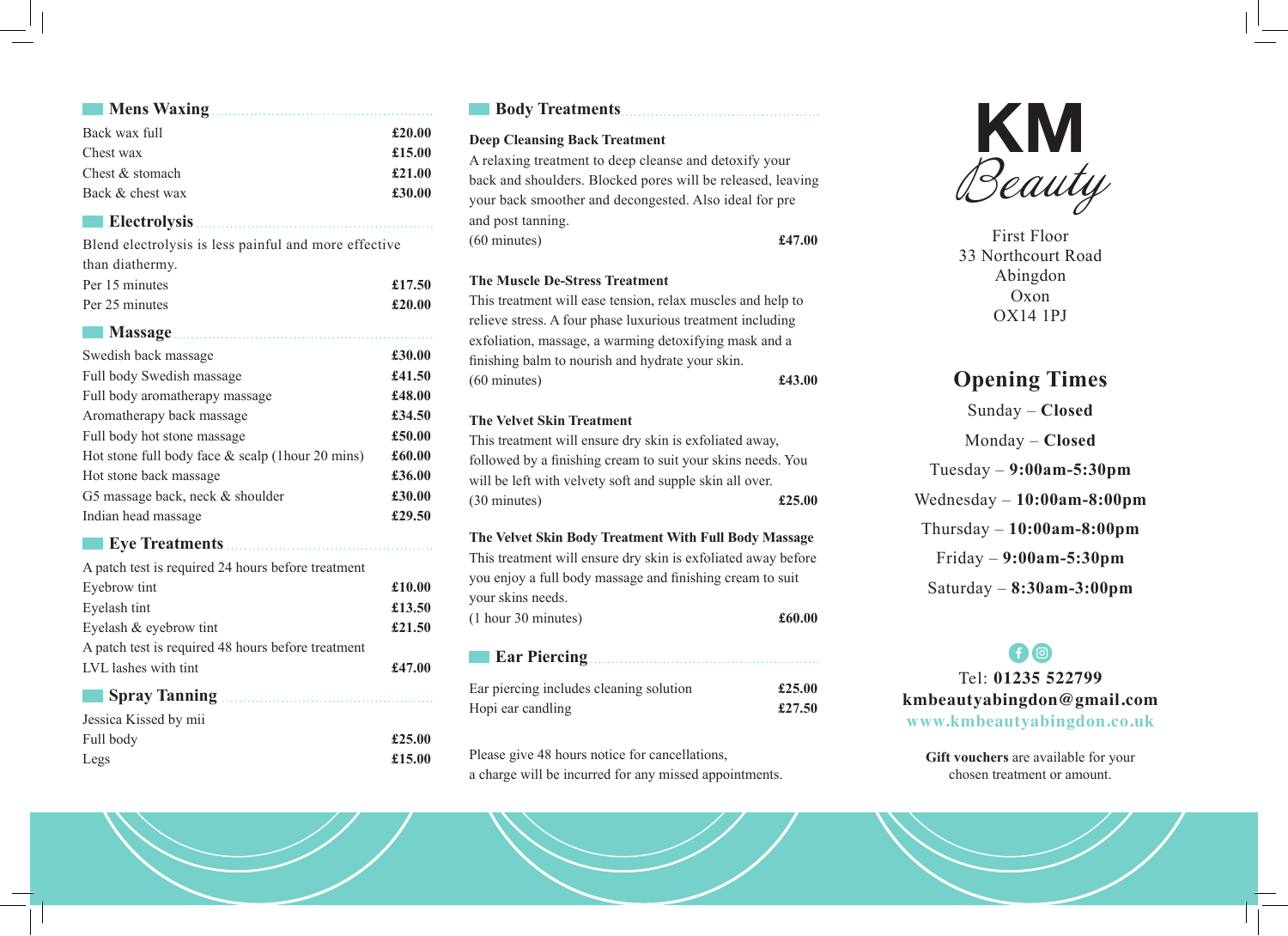| Mens Waxing.                                          |        |
|-------------------------------------------------------|--------|
| Back wax full                                         | £20.00 |
| Chest wax                                             | £15.00 |
| Chest & stomach                                       | £21.00 |
| Back & chest wax                                      | £30.00 |
| <b>Electrolysis</b>                                   |        |
| Blend electrolysis is less painful and more effective |        |
| than diathermy.                                       |        |
| Per 15 minutes                                        | £17.50 |
| Per 25 minutes                                        | £20.00 |
| Massage                                               |        |
| Swedish back massage                                  | £30.00 |
| Full body Swedish massage                             | £41.50 |
| Full body aromatherapy massage                        | £48.00 |
| Aromatherapy back massage                             | £34.50 |
| Full body hot stone massage                           | £50.00 |
| Hot stone full body face $\&$ scalp (1hour 20 mins)   | £60.00 |
| Hot stone back massage                                | £36.00 |
| G5 massage back, neck & shoulder                      | £30.00 |
| Indian head massage                                   | £29.50 |
| <b>Eye Treatments</b>                                 |        |
| A patch test is required 24 hours before treatment    |        |
| Eyebrow tint                                          | £10.00 |
| Eyelash tint                                          | £13.50 |
| Eyelash & eyebrow tint                                | £21.50 |
| A patch test is required 48 hours before treatment    |        |
| LVL lashes with tint                                  | £47.00 |
|                                                       |        |
| Jessica Kissed by mii                                 |        |
| Full body                                             | £25.00 |
| Legs                                                  | £15.00 |
|                                                       |        |

## **Body Treatments**

## **Deep Cleansing Back Treatment**

A relaxing treatment to deep cleanse and detoxify your back and shoulders. Blocked pores will be released, leaving your back smoother and decongested. Also ideal for pre and post tanning. (60 minutes) **£47.00**

## **The Muscle De-Stress Treatment**

This treatment will ease tension, relax muscles and help to relieve stress. A four phase luxurious treatment including exfoliation, massage, a warming detoxifying mask and a finishing balm to nourish and hydrate your skin. (60 minutes) **£43.00**

## **The Velvet Skin Treatment**

This treatment will ensure dry skin is exfoliated away, followed by a finishing cream to suit your skins needs. You will be left with velvety soft and supple skin all over. (30 minutes) **£25.00**

## **The Velvet Skin Body Treatment With Full Body Massage**

This treatment will ensure dry skin is exfoliated away before you enjoy a full body massage and finishing cream to suit your skins needs. (1 hour 30 minutes) **£60.00**

| Ear piercing includes cleaning solution | £25.00 |
|-----------------------------------------|--------|
| Hopi ear candling                       | £27.50 |

Please give 48 hours notice for cancellations, a charge will be incurred for any missed appointments.



First Floor 33 Northcourt Road Abingdon Oxon OX14 1PJ

# **Opening Times**

Sunday – **Closed** Monday – **Closed** Tuesday – **9:00am-5:30pm** Wednesday – **10:00am-8:00pm** Thursday – **10:00am-8:00pm** Friday – **9:00am-5:30pm** Saturday – **8:30am-3:00pm**

## **f** © Tel: **01235 522799 kmbeautyabingdon@gmail.com www.kmbeautyabingdon.co.uk**

**Gift vouchers** are available for your chosen treatment or amount.